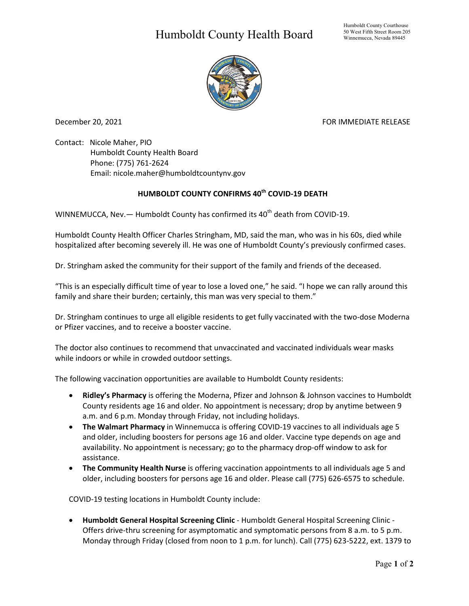## Humboldt County Health Board



December 20, 2021 **FOR IMMEDIATE RELEASE** 

Contact: Nicole Maher, PIO Humboldt County Health Board Phone: (775) 761-2624 Email: nicole.maher@humboldtcountynv.gov

## **HUMBOLDT COUNTY CONFIRMS 40th COVID-19 DEATH**

WINNEMUCCA, Nev.  $-$  Humboldt County has confirmed its 40<sup>th</sup> death from COVID-19.

Humboldt County Health Officer Charles Stringham, MD, said the man, who was in his 60s, died while hospitalized after becoming severely ill. He was one of Humboldt County's previously confirmed cases.

Dr. Stringham asked the community for their support of the family and friends of the deceased.

"This is an especially difficult time of year to lose a loved one," he said. "I hope we can rally around this family and share their burden; certainly, this man was very special to them."

Dr. Stringham continues to urge all eligible residents to get fully vaccinated with the two-dose Moderna or Pfizer vaccines, and to receive a booster vaccine.

The doctor also continues to recommend that unvaccinated and vaccinated individuals wear masks while indoors or while in crowded outdoor settings.

The following vaccination opportunities are available to Humboldt County residents:

- **Ridley's Pharmacy** is offering the Moderna, Pfizer and Johnson & Johnson vaccines to Humboldt County residents age 16 and older. No appointment is necessary; drop by anytime between 9 a.m. and 6 p.m. Monday through Friday, not including holidays.
- **The Walmart Pharmacy** in Winnemucca is offering COVID-19 vaccines to all individuals age 5 and older, including boosters for persons age 16 and older. Vaccine type depends on age and availability. No appointment is necessary; go to the pharmacy drop-off window to ask for assistance.
- **The Community Health Nurse** is offering vaccination appointments to all individuals age 5 and older, including boosters for persons age 16 and older. Please call (775) 626-6575 to schedule.

COVID-19 testing locations in Humboldt County include:

• **Humboldt General Hospital Screening Clinic** - Humboldt General Hospital Screening Clinic - Offers drive-thru screening for asymptomatic and symptomatic persons from 8 a.m. to 5 p.m. Monday through Friday (closed from noon to 1 p.m. for lunch). Call (775) 623-5222, ext. 1379 to